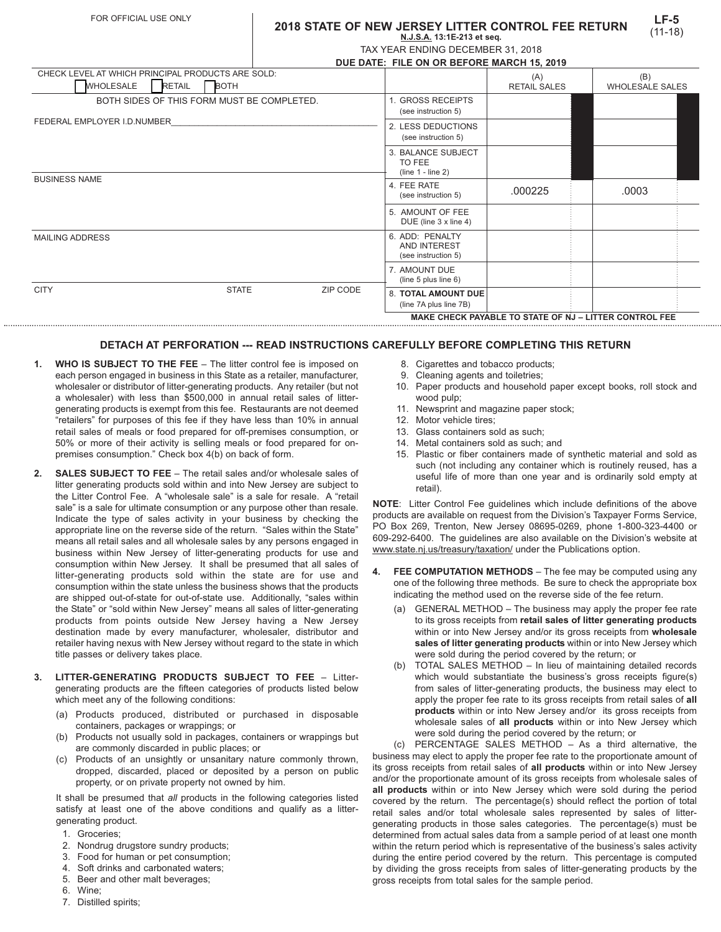## **2018 STATE OF NEW JERSEY LITTER CONTROL FEE RETURN N.J.S.A. 13:1E-213 et seq.**

|  |  | TAX YEAR ENDING DECEMBER 31, 2018        |  |  |
|--|--|------------------------------------------|--|--|
|  |  | LE BATE. FU E AN AB BEFABE MABALLAE AAJA |  |  |

|                                                   |               |              |                                                        | DUE DATE: FILE ON OR BEFORE MARCH 15, 2019             |                     |                        |  |
|---------------------------------------------------|---------------|--------------|--------------------------------------------------------|--------------------------------------------------------|---------------------|------------------------|--|
| CHECK LEVEL AT WHICH PRINCIPAL PRODUCTS ARE SOLD: |               |              |                                                        | (A)                                                    | (B)                 |                        |  |
| <b>WHOLESALE</b>                                  | <b>RETAIL</b> | <b>BOTH</b>  |                                                        |                                                        | <b>RETAIL SALES</b> | <b>WHOLESALE SALES</b> |  |
| BOTH SIDES OF THIS FORM MUST BE COMPLETED.        |               |              |                                                        | 1. GROSS RECEIPTS<br>(see instruction 5)               |                     |                        |  |
| FEDERAL EMPLOYER I.D.NUMBER                       |               |              |                                                        | 2. LESS DEDUCTIONS<br>(see instruction 5)              |                     |                        |  |
|                                                   |               |              |                                                        | 3. BALANCE SUBJECT<br>TO FEE<br>$(line 1 - line 2)$    |                     |                        |  |
| <b>BUSINESS NAME</b>                              |               |              |                                                        | 4. FEE RATE<br>(see instruction 5)                     | .000225             | .0003                  |  |
|                                                   |               |              |                                                        | 5. AMOUNT OF FEE<br>DUE (line $3 \times$ line $4$ )    |                     |                        |  |
| <b>MAILING ADDRESS</b>                            |               |              | 6. ADD: PENALTY<br>AND INTEREST<br>(see instruction 5) |                                                        |                     |                        |  |
|                                                   |               |              |                                                        | 7. AMOUNT DUE<br>(line 5 plus line $6$ )               |                     |                        |  |
| <b>CITY</b>                                       |               | <b>STATE</b> | ZIP CODE                                               | <b>8. TOTAL AMOUNT DUE</b><br>(line 7A plus line 7B)   |                     |                        |  |
|                                                   |               |              |                                                        | MAKE CHECK PAYABLE TO STATE OF NJ - LITTER CONTROL FEE |                     |                        |  |

## **DETACH AT PERFORATION --- READ INSTRUCTIONS CAREFULLY BEFORE COMPLETING THIS RETURN**

**MAKE CHECK PAYABLE TO STATE OF NJ – LITTER CONTROL FEE**

- **1. WHO IS SUBJECT TO THE FEE** The litter control fee is imposed on each person engaged in business in this State as a retailer, manufacturer, wholesaler or distributor of litter-generating products. Any retailer (but not a wholesaler) with less than \$500,000 in annual retail sales of littergenerating products is exempt from this fee. Restaurants are not deemed "retailers" for purposes of this fee if they have less than 10% in annual retail sales of meals or food prepared for off-premises consumption, or 50% or more of their activity is selling meals or food prepared for onpremises consumption." Check box 4(b) on back of form.
- **2. SALES SUBJECT TO FEE** The retail sales and/or wholesale sales of litter generating products sold within and into New Jersey are subject to the Litter Control Fee. A "wholesale sale" is a sale for resale. A "retail sale" is a sale for ultimate consumption or any purpose other than resale. Indicate the type of sales activity in your business by checking the appropriate line on the reverse side of the return. "Sales within the State" means all retail sales and all wholesale sales by any persons engaged in business within New Jersey of litter-generating products for use and consumption within New Jersey. It shall be presumed that all sales of litter-generating products sold within the state are for use and consumption within the state unless the business shows that the products are shipped out-of-state for out-of-state use. Additionally, "sales within the State" or "sold within New Jersey" means all sales of litter-generating products from points outside New Jersey having a New Jersey destination made by every manufacturer, wholesaler, distributor and retailer having nexus with New Jersey without regard to the state in which title passes or delivery takes place.
- **3. LITTER-GENERATING PRODUCTS SUBJECT TO FEE** Littergenerating products are the fifteen categories of products listed below which meet any of the following conditions:
	- (a) Products produced, distributed or purchased in disposable containers, packages or wrappings; or
	- (b) Products not usually sold in packages, containers or wrappings but are commonly discarded in public places; or
	- (c) Products of an unsightly or unsanitary nature commonly thrown, dropped, discarded, placed or deposited by a person on public property, or on private property not owned by him.

It shall be presumed that *all* products in the following categories listed satisfy at least one of the above conditions and qualify as a littergenerating product.

- 1. Groceries;
- 2. Nondrug drugstore sundry products;
- 3. Food for human or pet consumption;
- 4. Soft drinks and carbonated waters;
- 5. Beer and other malt beverages;
- 6. Wine;
- 7. Distilled spirits;
- 8. Cigarettes and tobacco products:
	- 9. Cleaning agents and toiletries;
- 10. Paper products and household paper except books, roll stock and wood pulp;
- 11. Newsprint and magazine paper stock;
- 12. Motor vehicle tires;
- 13. Glass containers sold as such;
- 14. Metal containers sold as such; and
- 15. Plastic or fiber containers made of synthetic material and sold as such (not including any container which is routinely reused, has a useful life of more than one year and is ordinarily sold empty at retail).

**NOTE**: Litter Control Fee guidelines which include definitions of the above products are available on request from the Division's Taxpayer Forms Service, PO Box 269, Trenton, New Jersey 08695-0269, phone 1-800-323-4400 or 609-292-6400. The guidelines are also available on the Division's website at www.state.nj.us/treasury/taxation/ under the Publications option.

- **4. FEE COMPUTATION METHODS** The fee may be computed using any one of the following three methods. Be sure to check the appropriate box indicating the method used on the reverse side of the fee return.
	- (a) GENERAL METHOD The business may apply the proper fee rate to its gross receipts from **retail sales of litter generating products** within or into New Jersey and/or its gross receipts from **wholesale sales of litter generating products** within or into New Jersey which were sold during the period covered by the return; or
	- (b) TOTAL SALES METHOD In lieu of maintaining detailed records which would substantiate the business's gross receipts figure(s) from sales of litter-generating products, the business may elect to apply the proper fee rate to its gross receipts from retail sales of **all products** within or into New Jersey and/or its gross receipts from wholesale sales of **all products** within or into New Jersey which were sold during the period covered by the return; or

(c) PERCENTAGE SALES METHOD – As a third alternative, the business may elect to apply the proper fee rate to the proportionate amount of its gross receipts from retail sales of **all products** within or into New Jersey and/or the proportionate amount of its gross receipts from wholesale sales of **all products** within or into New Jersey which were sold during the period covered by the return. The percentage(s) should reflect the portion of total retail sales and/or total wholesale sales represented by sales of littergenerating products in those sales categories. The percentage(s) must be determined from actual sales data from a sample period of at least one month within the return period which is representative of the business's sales activity during the entire period covered by the return. This percentage is computed by dividing the gross receipts from sales of litter-generating products by the gross receipts from total sales for the sample period.

**LF-5** (11-18)